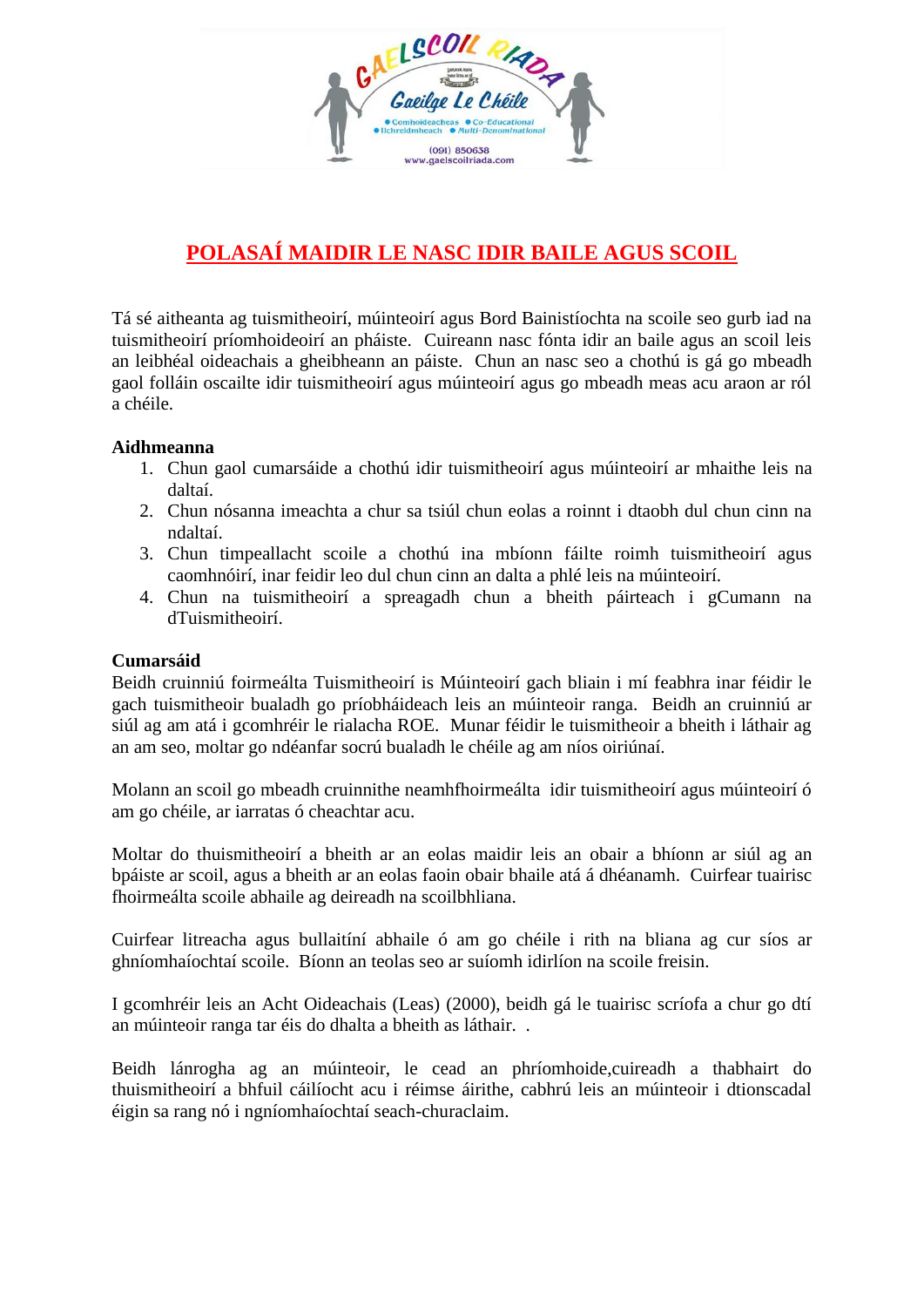

# **POLASAÍ MAIDIR LE NASC IDIR BAILE AGUS SCOIL**

Tá sé aitheanta ag tuismitheoirí, múinteoirí agus Bord Bainistíochta na scoile seo gurb iad na tuismitheoirí príomhoideoirí an pháiste. Cuireann nasc fónta idir an baile agus an scoil leis an leibhéal oideachais a gheibheann an páiste. Chun an nasc seo a chothú is gá go mbeadh gaol folláin oscailte idir tuismitheoirí agus múinteoirí agus go mbeadh meas acu araon ar ról a chéile.

### **Aidhmeanna**

- 1. Chun gaol cumarsáide a chothú idir tuismitheoirí agus múinteoirí ar mhaithe leis na daltaí.
- 2. Chun nósanna imeachta a chur sa tsiúl chun eolas a roinnt i dtaobh dul chun cinn na ndaltaí.
- 3. Chun timpeallacht scoile a chothú ina mbíonn fáilte roimh tuismitheoirí agus caomhnóirí, inar feidir leo dul chun cinn an dalta a phlé leis na múinteoirí.
- 4. Chun na tuismitheoirí a spreagadh chun a bheith páirteach i gCumann na dTuismitheoirí.

#### **Cumarsáid**

Beidh cruinniú foirmeálta Tuismitheoirí is Múinteoirí gach bliain i mí feabhra inar féidir le gach tuismitheoir bualadh go príobháideach leis an múinteoir ranga. Beidh an cruinniú ar siúl ag am atá i gcomhréir le rialacha ROE. Munar féidir le tuismitheoir a bheith i láthair ag an am seo, moltar go ndéanfar socrú bualadh le chéile ag am níos oiriúnaí.

Molann an scoil go mbeadh cruinnithe neamhfhoirmeálta idir tuismitheoirí agus múinteoirí ó am go chéile, ar iarratas ó cheachtar acu.

Moltar do thuismitheoirí a bheith ar an eolas maidir leis an obair a bhíonn ar siúl ag an bpáiste ar scoil, agus a bheith ar an eolas faoin obair bhaile atá á dhéanamh. Cuirfear tuairisc fhoirmeálta scoile abhaile ag deireadh na scoilbhliana.

Cuirfear litreacha agus bullaitíní abhaile ó am go chéile i rith na bliana ag cur síos ar ghníomhaíochtaí scoile. Bíonn an teolas seo ar suíomh idirlíon na scoile freisin.

I gcomhréir leis an Acht Oideachais (Leas) (2000), beidh gá le tuairisc scríofa a chur go dtí an múinteoir ranga tar éis do dhalta a bheith as láthair. .

Beidh lánrogha ag an múinteoir, le cead an phríomhoide,cuireadh a thabhairt do thuismitheoirí a bhfuil cáilíocht acu i réimse áirithe, cabhrú leis an múinteoir i dtionscadal éigin sa rang nó i ngníomhaíochtaí seach-churaclaim.